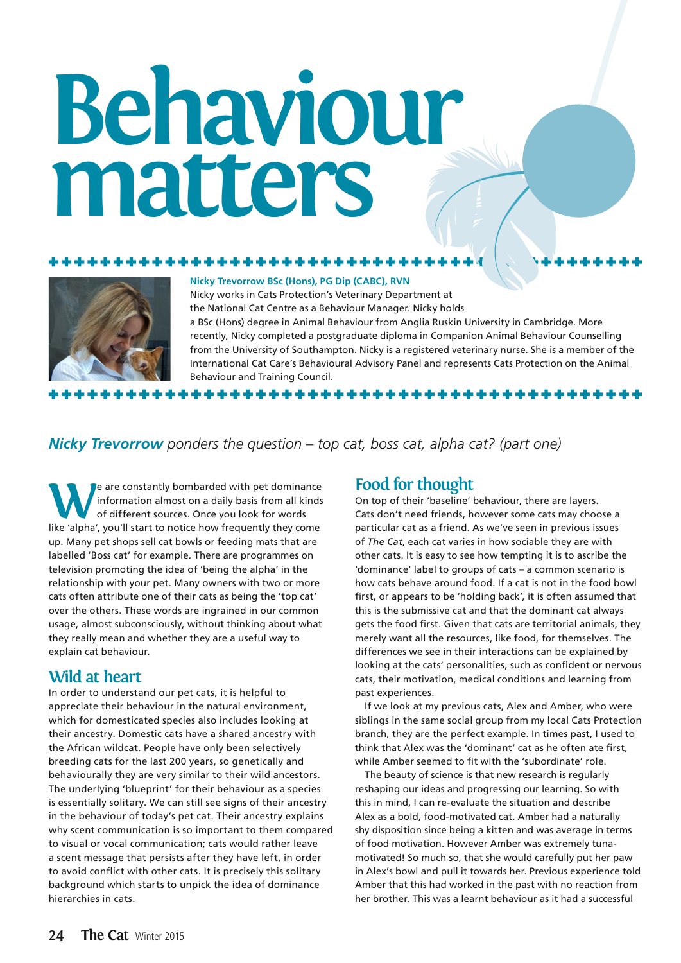# **Behaviour matters**



### **Nicky Trevorrow BSc (Hons), PG Dip (CABC), RVN**

Nicky works in Cats Protection's Veterinary Department at the National Cat Centre as a Behaviour Manager. Nicky holds a BSc (Hons) degree in Animal Behaviour from Anglia Ruskin University in Cambridge. More recently, Nicky completed a postgraduate diploma in Companion Animal Behaviour Counselling from the University of Southampton. Nicky is a registered veterinary nurse. She is a member of the International Cat Care's Behavioural Advisory Panel and represents Cats Protection on the Animal Behaviour and Training Council. \*\*\*\*\*\*\*\*\*\*\*\*\*

### *Nicky Trevorrow ponders the question – top cat, boss cat, alpha cat? (part one)*

We are constantly bombarded with pet dominance<br>information almost on a daily basis from all kinds<br>of different sources. Once you look for words information almost on a daily basis from all kinds of different sources. Once you look for words like 'alpha', you'll start to notice how frequently they come up. Many pet shops sell cat bowls or feeding mats that are labelled 'Boss cat' for example. There are programmes on television promoting the idea of 'being the alpha' in the relationship with your pet. Many owners with two or more cats often attribute one of their cats as being the 'top cat' over the others. These words are ingrained in our common usage, almost subconsciously, without thinking about what they really mean and whether they are a useful way to explain cat behaviour.

## **Wild at heart**

In order to understand our pet cats, it is helpful to appreciate their behaviour in the natural environment, which for domesticated species also includes looking at their ancestry. Domestic cats have a shared ancestry with the African wildcat. People have only been selectively breeding cats for the last 200 years, so genetically and behaviourally they are very similar to their wild ancestors. The underlying 'blueprint' for their behaviour as a species is essentially solitary. We can still see signs of their ancestry in the behaviour of today's pet cat. Their ancestry explains why scent communication is so important to them compared to visual or vocal communication; cats would rather leave a scent message that persists after they have left, in order to avoid conflict with other cats. It is precisely this solitary background which starts to unpick the idea of dominance hierarchies in cats.

### **Food for thought**

On top of their 'baseline' behaviour, there are layers. Cats don't need friends, however some cats may choose a particular cat as a friend. As we've seen in previous issues of *The Cat*, each cat varies in how sociable they are with other cats. It is easy to see how tempting it is to ascribe the 'dominance' label to groups of cats – a common scenario is how cats behave around food. If a cat is not in the food bowl first, or appears to be 'holding back', it is often assumed that this is the submissive cat and that the dominant cat always gets the food first. Given that cats are territorial animals, they merely want all the resources, like food, for themselves. The differences we see in their interactions can be explained by looking at the cats' personalities, such as confident or nervous cats, their motivation, medical conditions and learning from past experiences.

If we look at my previous cats, Alex and Amber, who were siblings in the same social group from my local Cats Protection branch, they are the perfect example. In times past, I used to think that Alex was the 'dominant' cat as he often ate first, while Amber seemed to fit with the 'subordinate' role.

The beauty of science is that new research is regularly reshaping our ideas and progressing our learning. So with this in mind, I can re-evaluate the situation and describe Alex as a bold, food-motivated cat. Amber had a naturally shy disposition since being a kitten and was average in terms of food motivation. However Amber was extremely tunamotivated! So much so, that she would carefully put her paw in Alex's bowl and pull it towards her. Previous experience told Amber that this had worked in the past with no reaction from her brother. This was a learnt behaviour as it had a successful